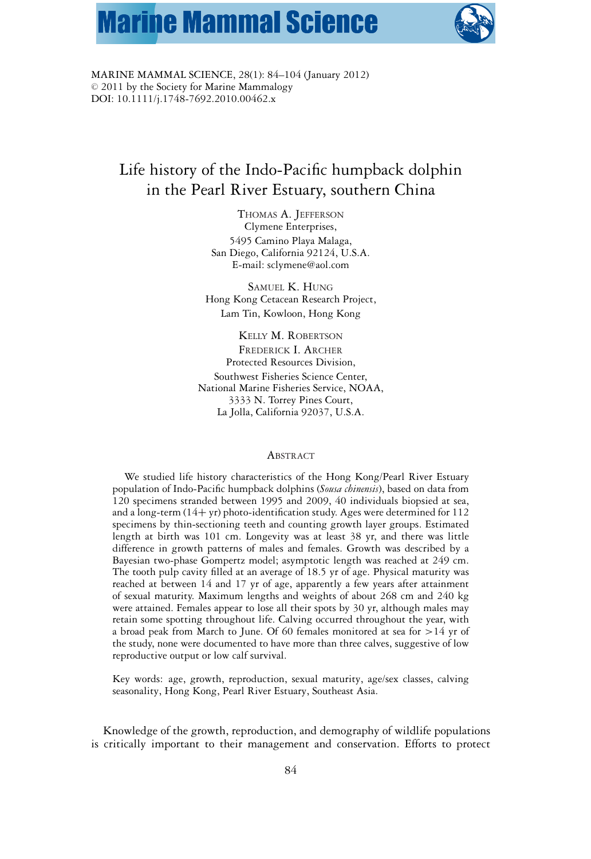# **Marine Mammal Science**



MARINE MAMMAL SCIENCE, 28(1): 84–104 (January 2012)  $© 2011$  by the Society for Marine Mammalogy DOI: 10.1111/j.1748-7692.2010.00462.x

# Life history of the Indo-Pacific humpback dolphin in the Pearl River Estuary, southern China

THOMAS A. JEFFERSON Clymene Enterprises, 5495 Camino Playa Malaga, San Diego, California 92124, U.S.A. E-mail: sclymene@aol.com

SAMUEL K. HUNG Hong Kong Cetacean Research Project, Lam Tin, Kowloon, Hong Kong

KELLY M. ROBERTSON FREDERICK I. ARCHER Protected Resources Division, Southwest Fisheries Science Center, National Marine Fisheries Service, NOAA, 3333 N. Torrey Pines Court, La Jolla, California 92037, U.S.A.

#### **ABSTRACT**

We studied life history characteristics of the Hong Kong/Pearl River Estuary population of Indo-Pacific humpback dolphins (*Sousa chinensis*), based on data from 120 specimens stranded between 1995 and 2009, 40 individuals biopsied at sea, and a long-term (14+ yr) photo-identification study. Ages were determined for 112 specimens by thin-sectioning teeth and counting growth layer groups. Estimated length at birth was 101 cm. Longevity was at least 38 yr, and there was little difference in growth patterns of males and females. Growth was described by a Bayesian two-phase Gompertz model; asymptotic length was reached at 249 cm. The tooth pulp cavity filled at an average of 18.5 yr of age. Physical maturity was reached at between 14 and 17 yr of age, apparently a few years after attainment of sexual maturity. Maximum lengths and weights of about 268 cm and 240 kg were attained. Females appear to lose all their spots by 30 yr, although males may retain some spotting throughout life. Calving occurred throughout the year, with a broad peak from March to June. Of 60 females monitored at sea for >14 yr of the study, none were documented to have more than three calves, suggestive of low reproductive output or low calf survival.

Key words: age, growth, reproduction, sexual maturity, age/sex classes, calving seasonality, Hong Kong, Pearl River Estuary, Southeast Asia.

Knowledge of the growth, reproduction, and demography of wildlife populations is critically important to their management and conservation. Efforts to protect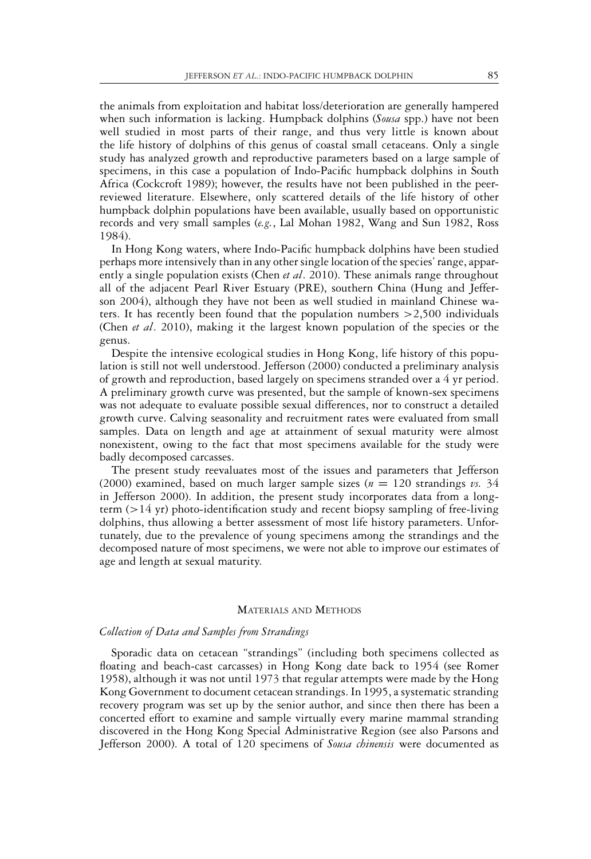the animals from exploitation and habitat loss/deterioration are generally hampered when such information is lacking. Humpback dolphins (*Sousa* spp.) have not been well studied in most parts of their range, and thus very little is known about the life history of dolphins of this genus of coastal small cetaceans. Only a single study has analyzed growth and reproductive parameters based on a large sample of specimens, in this case a population of Indo-Pacific humpback dolphins in South Africa (Cockcroft 1989); however, the results have not been published in the peerreviewed literature. Elsewhere, only scattered details of the life history of other humpback dolphin populations have been available, usually based on opportunistic records and very small samples (*e.g.*, Lal Mohan 1982, Wang and Sun 1982, Ross 1984).

In Hong Kong waters, where Indo-Pacific humpback dolphins have been studied perhaps more intensively than in any other single location of the species' range, apparently a single population exists (Chen *et al*. 2010). These animals range throughout all of the adjacent Pearl River Estuary (PRE), southern China (Hung and Jefferson 2004), although they have not been as well studied in mainland Chinese waters. It has recently been found that the population numbers  $>2,500$  individuals (Chen *et al*. 2010), making it the largest known population of the species or the genus.

Despite the intensive ecological studies in Hong Kong, life history of this population is still not well understood. Jefferson (2000) conducted a preliminary analysis of growth and reproduction, based largely on specimens stranded over a 4 yr period. A preliminary growth curve was presented, but the sample of known-sex specimens was not adequate to evaluate possible sexual differences, nor to construct a detailed growth curve. Calving seasonality and recruitment rates were evaluated from small samples. Data on length and age at attainment of sexual maturity were almost nonexistent, owing to the fact that most specimens available for the study were badly decomposed carcasses.

The present study reevaluates most of the issues and parameters that Jefferson (2000) examined, based on much larger sample sizes ( $n = 120$  strandings *vs.* 34 in Jefferson 2000). In addition, the present study incorporates data from a longterm  $(>14 \text{ yr})$  photo-identification study and recent biopsy sampling of free-living dolphins, thus allowing a better assessment of most life history parameters. Unfortunately, due to the prevalence of young specimens among the strandings and the decomposed nature of most specimens, we were not able to improve our estimates of age and length at sexual maturity.

# MATERIALS AND METHODS

#### *Collection of Data and Samples from Strandings*

Sporadic data on cetacean "strandings" (including both specimens collected as floating and beach-cast carcasses) in Hong Kong date back to 1954 (see Romer 1958), although it was not until 1973 that regular attempts were made by the Hong Kong Government to document cetacean strandings. In 1995, a systematic stranding recovery program was set up by the senior author, and since then there has been a concerted effort to examine and sample virtually every marine mammal stranding discovered in the Hong Kong Special Administrative Region (see also Parsons and Jefferson 2000). A total of 120 specimens of *Sousa chinensis* were documented as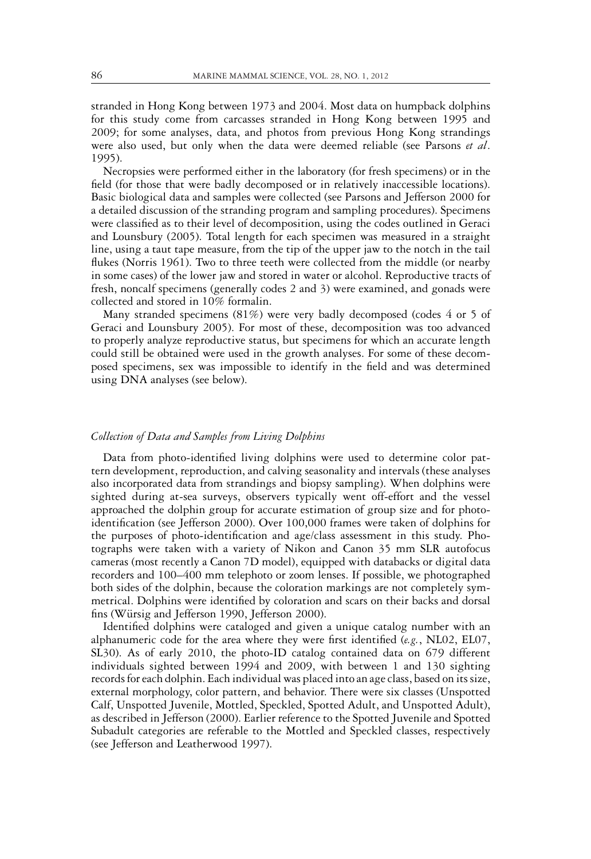stranded in Hong Kong between 1973 and 2004. Most data on humpback dolphins for this study come from carcasses stranded in Hong Kong between 1995 and 2009; for some analyses, data, and photos from previous Hong Kong strandings were also used, but only when the data were deemed reliable (see Parsons *et al*. 1995).

Necropsies were performed either in the laboratory (for fresh specimens) or in the field (for those that were badly decomposed or in relatively inaccessible locations). Basic biological data and samples were collected (see Parsons and Jefferson 2000 for a detailed discussion of the stranding program and sampling procedures). Specimens were classified as to their level of decomposition, using the codes outlined in Geraci and Lounsbury (2005). Total length for each specimen was measured in a straight line, using a taut tape measure, from the tip of the upper jaw to the notch in the tail flukes (Norris 1961). Two to three teeth were collected from the middle (or nearby in some cases) of the lower jaw and stored in water or alcohol. Reproductive tracts of fresh, noncalf specimens (generally codes 2 and 3) were examined, and gonads were collected and stored in 10% formalin.

Many stranded specimens (81%) were very badly decomposed (codes 4 or 5 of Geraci and Lounsbury 2005). For most of these, decomposition was too advanced to properly analyze reproductive status, but specimens for which an accurate length could still be obtained were used in the growth analyses. For some of these decomposed specimens, sex was impossible to identify in the field and was determined using DNA analyses (see below).

#### *Collection of Data and Samples from Living Dolphins*

Data from photo-identified living dolphins were used to determine color pattern development, reproduction, and calving seasonality and intervals (these analyses also incorporated data from strandings and biopsy sampling). When dolphins were sighted during at-sea surveys, observers typically went off-effort and the vessel approached the dolphin group for accurate estimation of group size and for photoidentification (see Jefferson 2000). Over 100,000 frames were taken of dolphins for the purposes of photo-identification and age/class assessment in this study. Photographs were taken with a variety of Nikon and Canon 35 mm SLR autofocus cameras (most recently a Canon 7D model), equipped with databacks or digital data recorders and 100–400 mm telephoto or zoom lenses. If possible, we photographed both sides of the dolphin, because the coloration markings are not completely symmetrical. Dolphins were identified by coloration and scars on their backs and dorsal fins (Würsig and Jefferson 1990, Jefferson 2000).

Identified dolphins were cataloged and given a unique catalog number with an alphanumeric code for the area where they were first identified (*e.g.*, NL02, EL07, SL30). As of early 2010, the photo-ID catalog contained data on 679 different individuals sighted between 1994 and 2009, with between 1 and 130 sighting records for each dolphin. Each individual was placed into an age class, based on its size, external morphology, color pattern, and behavior. There were six classes (Unspotted Calf, Unspotted Juvenile, Mottled, Speckled, Spotted Adult, and Unspotted Adult), as described in Jefferson (2000). Earlier reference to the Spotted Juvenile and Spotted Subadult categories are referable to the Mottled and Speckled classes, respectively (see Jefferson and Leatherwood 1997).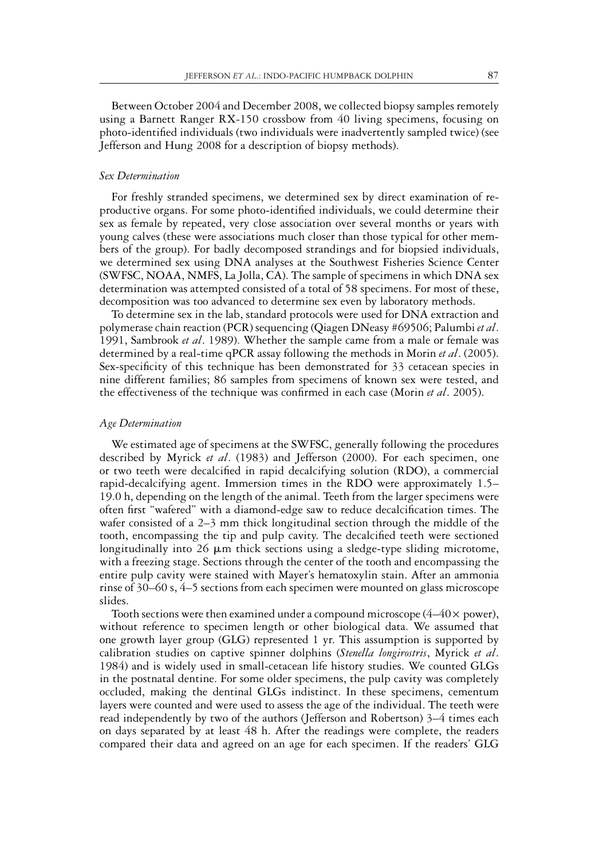Between October 2004 and December 2008, we collected biopsy samples remotely using a Barnett Ranger RX-150 crossbow from 40 living specimens, focusing on photo-identified individuals (two individuals were inadvertently sampled twice) (see Jefferson and Hung 2008 for a description of biopsy methods).

# *Sex Determination*

For freshly stranded specimens, we determined sex by direct examination of reproductive organs. For some photo-identified individuals, we could determine their sex as female by repeated, very close association over several months or years with young calves (these were associations much closer than those typical for other members of the group). For badly decomposed strandings and for biopsied individuals, we determined sex using DNA analyses at the Southwest Fisheries Science Center (SWFSC, NOAA, NMFS, La Jolla, CA). The sample of specimens in which DNA sex determination was attempted consisted of a total of 58 specimens. For most of these, decomposition was too advanced to determine sex even by laboratory methods.

To determine sex in the lab, standard protocols were used for DNA extraction and polymerase chain reaction (PCR) sequencing (Qiagen DNeasy #69506; Palumbi *et al*. 1991, Sambrook *et al*. 1989). Whether the sample came from a male or female was determined by a real-time qPCR assay following the methods in Morin *et al*. (2005). Sex-specificity of this technique has been demonstrated for 33 cetacean species in nine different families; 86 samples from specimens of known sex were tested, and the effectiveness of the technique was confirmed in each case (Morin *et al*. 2005).

#### *Age Determination*

We estimated age of specimens at the SWFSC, generally following the procedures described by Myrick *et al*. (1983) and Jefferson (2000). For each specimen, one or two teeth were decalcified in rapid decalcifying solution (RDO), a commercial rapid-decalcifying agent. Immersion times in the RDO were approximately 1.5– 19.0 h, depending on the length of the animal. Teeth from the larger specimens were often first "wafered" with a diamond-edge saw to reduce decalcification times. The wafer consisted of a 2–3 mm thick longitudinal section through the middle of the tooth, encompassing the tip and pulp cavity. The decalcified teeth were sectioned longitudinally into 26  $\mu$ m thick sections using a sledge-type sliding microtome, with a freezing stage. Sections through the center of the tooth and encompassing the entire pulp cavity were stained with Mayer's hematoxylin stain. After an ammonia rinse of 30–60 s, 4–5 sections from each specimen were mounted on glass microscope slides.

Tooth sections were then examined under a compound microscope  $(4-40 \times$  power), without reference to specimen length or other biological data. We assumed that one growth layer group (GLG) represented 1 yr. This assumption is supported by calibration studies on captive spinner dolphins (*Stenella longirostris*, Myrick *et al*. 1984) and is widely used in small-cetacean life history studies. We counted GLGs in the postnatal dentine. For some older specimens, the pulp cavity was completely occluded, making the dentinal GLGs indistinct. In these specimens, cementum layers were counted and were used to assess the age of the individual. The teeth were read independently by two of the authors (Jefferson and Robertson) 3–4 times each on days separated by at least 48 h. After the readings were complete, the readers compared their data and agreed on an age for each specimen. If the readers' GLG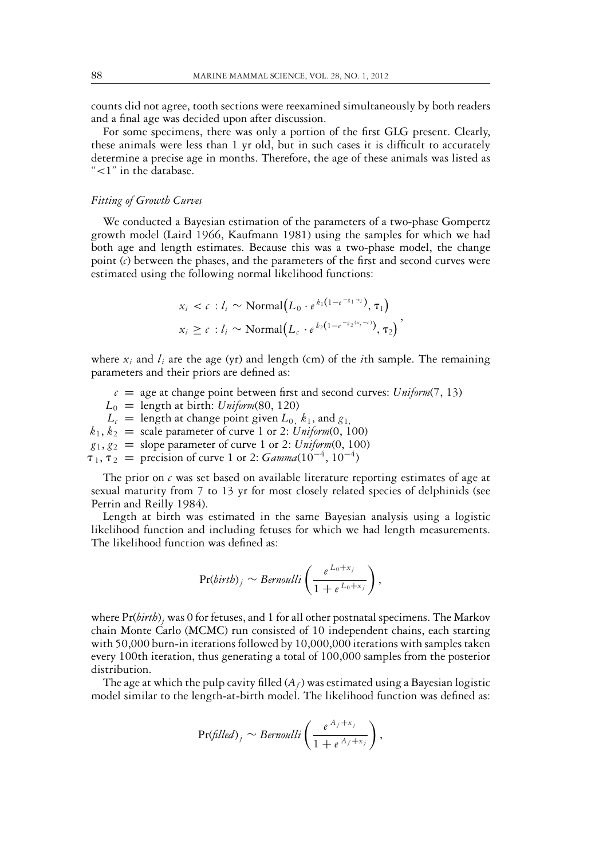counts did not agree, tooth sections were reexamined simultaneously by both readers and a final age was decided upon after discussion.

For some specimens, there was only a portion of the first GLG present. Clearly, these animals were less than 1 yr old, but in such cases it is difficult to accurately determine a precise age in months. Therefore, the age of these animals was listed as "<1" in the database.

#### *Fitting of Growth Curves*

We conducted a Bayesian estimation of the parameters of a two-phase Gompertz growth model (Laird 1966, Kaufmann 1981) using the samples for which we had both age and length estimates. Because this was a two-phase model, the change point (*c*) between the phases, and the parameters of the first and second curves were estimated using the following normal likelihood functions:

$$
x_i < c : l_i \sim \text{Normal}\big(L_0 \cdot e^{k_1(1 - e^{-\varepsilon_1 \cdot x_i})}, \tau_1\big)
$$
\n
$$
x_i \geq c : l_i \sim \text{Normal}\big(L_c \cdot e^{k_2(1 - e^{-\varepsilon_2 (x_i - c)})}, \tau_2\big)
$$

where  $x_i$  and  $l_i$  are the age (yr) and length (cm) of the *i*th sample. The remaining parameters and their priors are defined as:

 $c = age$  at change point between first and second curves: *Uniform*(7, 13)  $L_0$  = length at birth: *Uniform*(80, 120)  $L_c$  = length at change point given  $L_0$ ,  $k_1$ , and  $g_1$ ,  $k_1, k_2$  = scale parameter of curve 1 or 2: *Uniform*(0, 100)  $g_1, g_2$  = slope parameter of curve 1 or 2: *Uniform*(0, 100)  $\tau_1, \tau_2$  = precision of curve 1 or 2:  $Gamma(10^{-4}, 10^{-4})$ 

The prior on  $c$  was set based on available literature reporting estimates of age at sexual maturity from 7 to 13 yr for most closely related species of delphinids (see Perrin and Reilly 1984).

Length at birth was estimated in the same Bayesian analysis using a logistic likelihood function and including fetuses for which we had length measurements. The likelihood function was defined as:

$$
\Pr(birth)_j \sim Bernoulli\left(\frac{e^{L_0+x_j}}{1+e^{L_0+x_j}}\right),
$$

where Pr(*birth*)*<sup>j</sup>* was 0 for fetuses, and 1 for all other postnatal specimens. The Markov chain Monte Carlo (MCMC) run consisted of 10 independent chains, each starting with 50,000 burn-in iterations followed by 10,000,000 iterations with samples taken every 100th iteration, thus generating a total of 100,000 samples from the posterior distribution.

The age at which the pulp cavity filled  $(A_f)$  was estimated using a Bayesian logistic model similar to the length-at-birth model. The likelihood function was defined as:

$$
\Pr\left(\text{filled}\right)_j \sim \text{Bernoulli}\left(\frac{e^{A_f+x_j}}{1+e^{A_f+x_j}}\right),
$$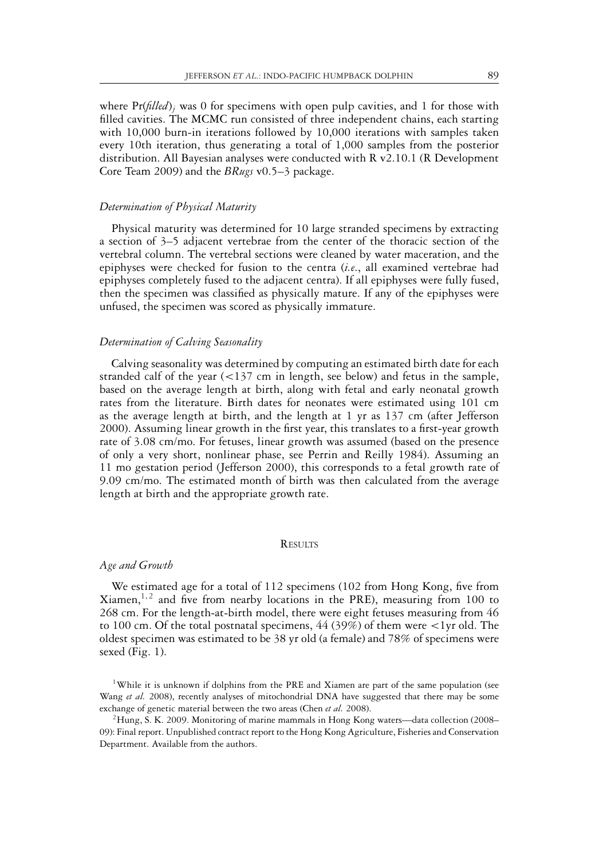where Pr(*filled*)<sub>*j*</sub> was 0 for specimens with open pulp cavities, and 1 for those with filled cavities. The MCMC run consisted of three independent chains, each starting with 10,000 burn-in iterations followed by 10,000 iterations with samples taken every 10th iteration, thus generating a total of 1,000 samples from the posterior distribution. All Bayesian analyses were conducted with R v2.10.1 (R Development Core Team 2009) and the *BRugs* v0.5–3 package.

#### *Determination of Physical Maturity*

Physical maturity was determined for 10 large stranded specimens by extracting a section of 3–5 adjacent vertebrae from the center of the thoracic section of the vertebral column. The vertebral sections were cleaned by water maceration, and the epiphyses were checked for fusion to the centra (*i.e*., all examined vertebrae had epiphyses completely fused to the adjacent centra). If all epiphyses were fully fused, then the specimen was classified as physically mature. If any of the epiphyses were unfused, the specimen was scored as physically immature.

# *Determination of Calving Seasonality*

Calving seasonality was determined by computing an estimated birth date for each stranded calf of the year (<137 cm in length, see below) and fetus in the sample, based on the average length at birth, along with fetal and early neonatal growth rates from the literature. Birth dates for neonates were estimated using 101 cm as the average length at birth, and the length at 1 yr as 137 cm (after Jefferson 2000). Assuming linear growth in the first year, this translates to a first-year growth rate of 3.08 cm/mo. For fetuses, linear growth was assumed (based on the presence of only a very short, nonlinear phase, see Perrin and Reilly 1984). Assuming an 11 mo gestation period (Jefferson 2000), this corresponds to a fetal growth rate of 9.09 cm/mo. The estimated month of birth was then calculated from the average length at birth and the appropriate growth rate.

#### **RESULTS**

#### *Age and Growth*

We estimated age for a total of 112 specimens (102 from Hong Kong, five from Xiamen,<sup>1,2</sup> and five from nearby locations in the PRE), measuring from 100 to 268 cm. For the length-at-birth model, there were eight fetuses measuring from 46 to 100 cm. Of the total postnatal specimens,  $44 (39%)$  of them were  $\lt 1$ yr old. The oldest specimen was estimated to be 38 yr old (a female) and 78% of specimens were sexed (Fig. 1).

<sup>1</sup>While it is unknown if dolphins from the PRE and Xiamen are part of the same population (see Wang *et al.* 2008), recently analyses of mitochondrial DNA have suggested that there may be some exchange of genetic material between the two areas (Chen *et al.* 2008).

 $^{2}$ Hung, S. K. 2009. Monitoring of marine mammals in Hong Kong waters—data collection (2008– 09): Final report. Unpublished contract report to the Hong Kong Agriculture, Fisheries and Conservation Department. Available from the authors.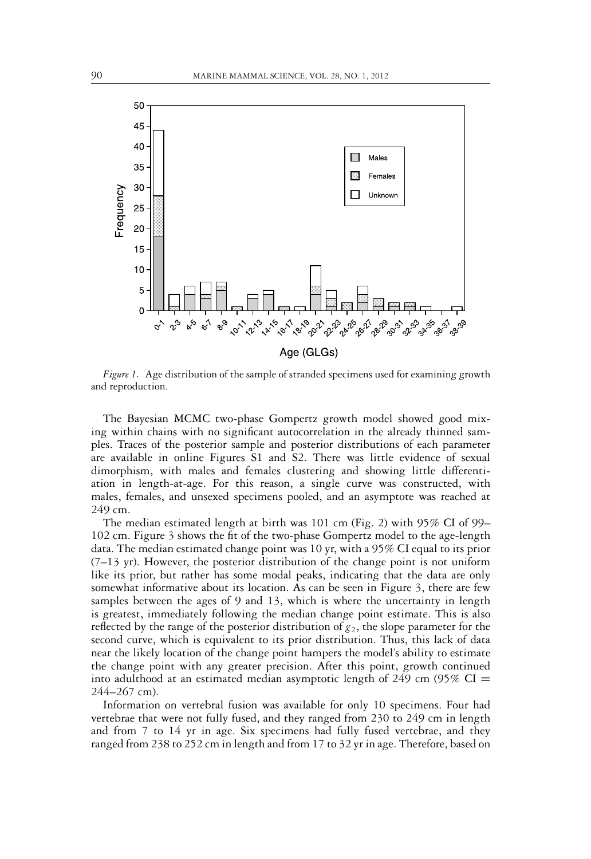

*Figure 1.* Age distribution of the sample of stranded specimens used for examining growth and reproduction.

The Bayesian MCMC two-phase Gompertz growth model showed good mixing within chains with no significant autocorrelation in the already thinned samples. Traces of the posterior sample and posterior distributions of each parameter are available in online Figures S1 and S2. There was little evidence of sexual dimorphism, with males and females clustering and showing little differentiation in length-at-age. For this reason, a single curve was constructed, with males, females, and unsexed specimens pooled, and an asymptote was reached at 249 cm.

The median estimated length at birth was 101 cm (Fig. 2) with 95% CI of 99– 102 cm. Figure 3 shows the fit of the two-phase Gompertz model to the age-length data. The median estimated change point was 10 yr, with a 95% CI equal to its prior  $(7-13 \text{ yr})$ . However, the posterior distribution of the change point is not uniform like its prior, but rather has some modal peaks, indicating that the data are only somewhat informative about its location. As can be seen in Figure 3, there are few samples between the ages of 9 and 13, which is where the uncertainty in length is greatest, immediately following the median change point estimate. This is also reflected by the range of the posterior distribution of  $g_2$ , the slope parameter for the second curve, which is equivalent to its prior distribution. Thus, this lack of data near the likely location of the change point hampers the model's ability to estimate the change point with any greater precision. After this point, growth continued into adulthood at an estimated median asymptotic length of 249 cm (95% CI  $=$ 244–267 cm).

Information on vertebral fusion was available for only 10 specimens. Four had vertebrae that were not fully fused, and they ranged from 230 to 249 cm in length and from 7 to 14 yr in age. Six specimens had fully fused vertebrae, and they ranged from 238 to 252 cm in length and from 17 to 32 yr in age. Therefore, based on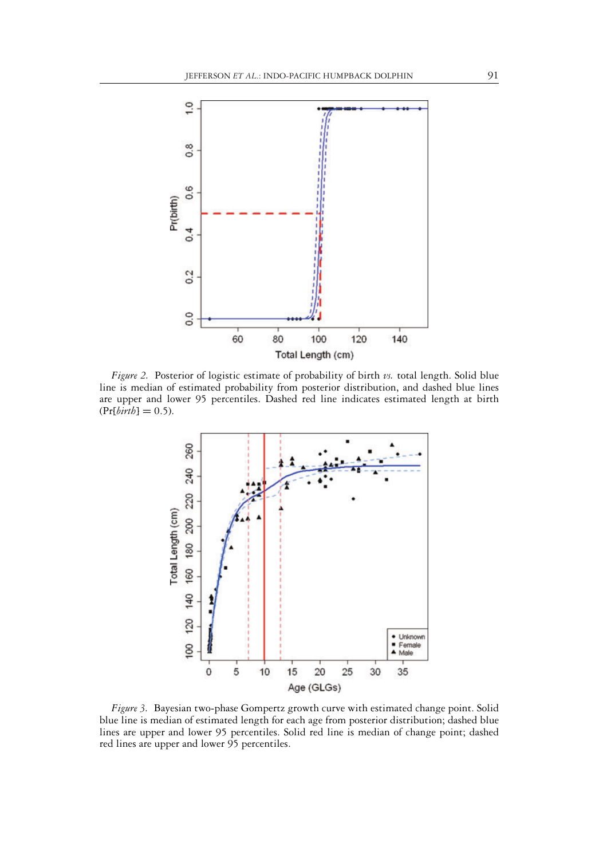

*Figure 2.* Posterior of logistic estimate of probability of birth *vs.* total length. Solid blue line is median of estimated probability from posterior distribution, and dashed blue lines are upper and lower 95 percentiles. Dashed red line indicates estimated length at birth  $(Pr[birth] = 0.5).$ 



*Figure 3.* Bayesian two-phase Gompertz growth curve with estimated change point. Solid blue line is median of estimated length for each age from posterior distribution; dashed blue lines are upper and lower 95 percentiles. Solid red line is median of change point; dashed red lines are upper and lower 95 percentiles.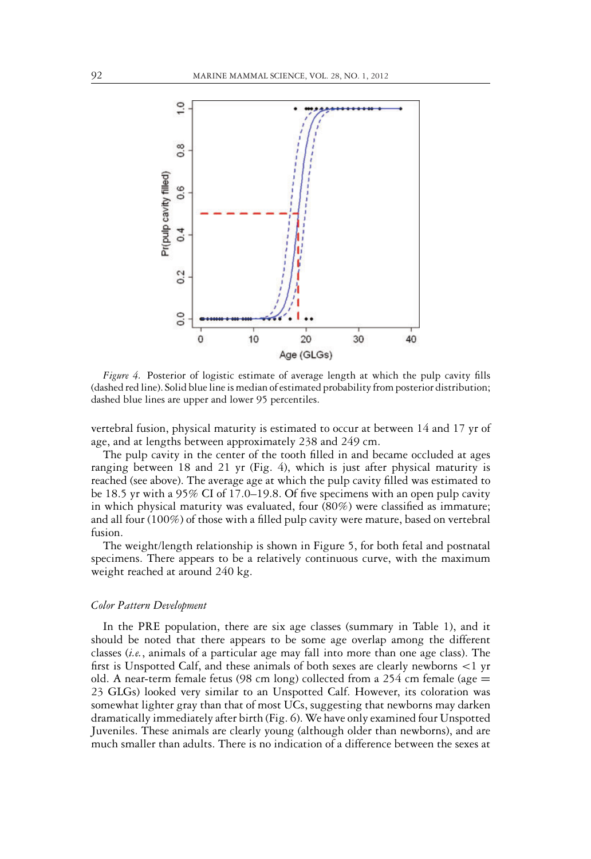

*Figure 4.* Posterior of logistic estimate of average length at which the pulp cavity fills (dashed red line). Solid blue line is median of estimated probability from posterior distribution; dashed blue lines are upper and lower 95 percentiles.

vertebral fusion, physical maturity is estimated to occur at between 14 and 17 yr of age, and at lengths between approximately 238 and 249 cm.

The pulp cavity in the center of the tooth filled in and became occluded at ages ranging between 18 and 21 yr (Fig. 4), which is just after physical maturity is reached (see above). The average age at which the pulp cavity filled was estimated to be 18.5 yr with a 95% CI of 17.0–19.8. Of five specimens with an open pulp cavity in which physical maturity was evaluated, four (80%) were classified as immature; and all four (100%) of those with a filled pulp cavity were mature, based on vertebral fusion.

The weight/length relationship is shown in Figure 5, for both fetal and postnatal specimens. There appears to be a relatively continuous curve, with the maximum weight reached at around 240 kg.

#### *Color Pattern Development*

In the PRE population, there are six age classes (summary in Table 1), and it should be noted that there appears to be some age overlap among the different classes (*i.e.*, animals of a particular age may fall into more than one age class). The first is Unspotted Calf, and these animals of both sexes are clearly newborns <1 yr old. A near-term female fetus (98 cm long) collected from a 254 cm female (age  $=$ 23 GLGs) looked very similar to an Unspotted Calf. However, its coloration was somewhat lighter gray than that of most UCs, suggesting that newborns may darken dramatically immediately after birth (Fig. 6). We have only examined four Unspotted Juveniles. These animals are clearly young (although older than newborns), and are much smaller than adults. There is no indication of a difference between the sexes at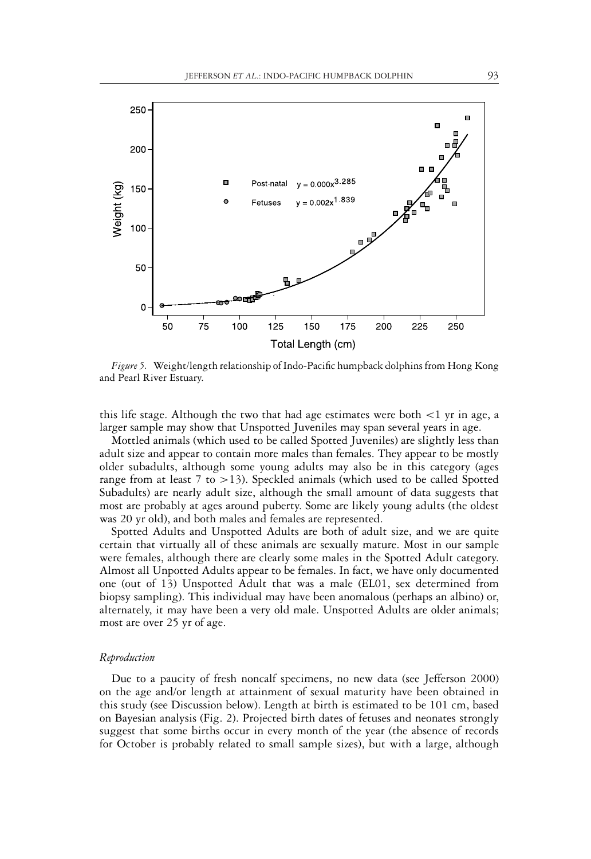

*Figure 5.* Weight/length relationship of Indo-Pacific humpback dolphins from Hong Kong and Pearl River Estuary.

this life stage. Although the two that had age estimates were both  $\lt 1$  yr in age, a larger sample may show that Unspotted Juveniles may span several years in age.

Mottled animals (which used to be called Spotted Juveniles) are slightly less than adult size and appear to contain more males than females. They appear to be mostly older subadults, although some young adults may also be in this category (ages range from at least  $7$  to  $>13$ ). Speckled animals (which used to be called Spotted Subadults) are nearly adult size, although the small amount of data suggests that most are probably at ages around puberty. Some are likely young adults (the oldest was 20 yr old), and both males and females are represented.

Spotted Adults and Unspotted Adults are both of adult size, and we are quite certain that virtually all of these animals are sexually mature. Most in our sample were females, although there are clearly some males in the Spotted Adult category. Almost all Unpotted Adults appear to be females. In fact, we have only documented one (out of 13) Unspotted Adult that was a male (EL01, sex determined from biopsy sampling). This individual may have been anomalous (perhaps an albino) or, alternately, it may have been a very old male. Unspotted Adults are older animals; most are over 25 yr of age.

#### *Reproduction*

Due to a paucity of fresh noncalf specimens, no new data (see Jefferson 2000) on the age and/or length at attainment of sexual maturity have been obtained in this study (see Discussion below). Length at birth is estimated to be 101 cm, based on Bayesian analysis (Fig. 2). Projected birth dates of fetuses and neonates strongly suggest that some births occur in every month of the year (the absence of records for October is probably related to small sample sizes), but with a large, although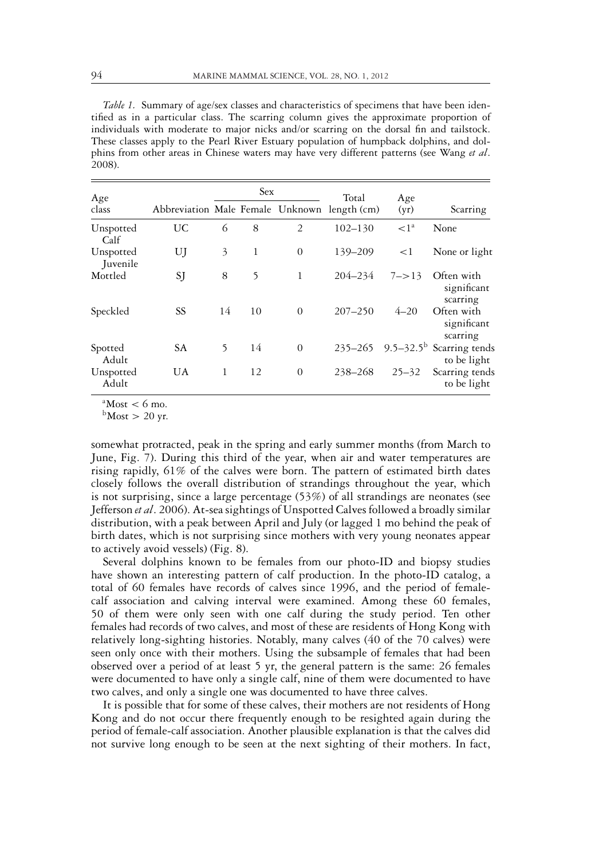*Table 1.* Summary of age/sex classes and characteristics of specimens that have been identified as in a particular class. The scarring column gives the approximate proportion of individuals with moderate to major nicks and/or scarring on the dorsal fin and tailstock. These classes apply to the Pearl River Estuary population of humpback dolphins, and dolphins from other areas in Chinese waters may have very different patterns (see Wang *et al*. 2008).

| Age                   | Sex                                          |    |    |          | Total       | Age        |                                                     |
|-----------------------|----------------------------------------------|----|----|----------|-------------|------------|-----------------------------------------------------|
| class                 | Abbreviation Male Female Unknown length (cm) |    |    |          |             | (yr)       | Scarring                                            |
| Unspotted<br>Calf     | UC                                           | 6  | 8  | 2        | $102 - 130$ | $\leq l^a$ | None                                                |
| Unspotted<br>Juvenile | UJ                                           | 3  | 1  | $\theta$ | 139-209     | <1         | None or light                                       |
| Mottled               | SJ                                           | 8  | 5  | 1        | $204 - 234$ | $7 - > 13$ | Often with<br>significant<br>scarring               |
| Speckled              | SS                                           | 14 | 10 | $\Omega$ | $207 - 250$ | $4 - 20$   | Often with<br>significant<br>scarring               |
| Spotted<br>Adult      | <b>SA</b>                                    | 5  | 14 | $\theta$ | $235 - 265$ |            | 9.5–32.5 <sup>b</sup> Scarring tends<br>to be light |
| Unspotted<br>Adult    | <b>UA</b>                                    | 1  | 12 | $\Omega$ | 238-268     | $25 - 32$  | Scarring tends<br>to be light                       |

 $^{\circ}$ Most < 6 mo.

 $b$ Most > 20 yr.

somewhat protracted, peak in the spring and early summer months (from March to June, Fig. 7). During this third of the year, when air and water temperatures are rising rapidly, 61% of the calves were born. The pattern of estimated birth dates closely follows the overall distribution of strandings throughout the year, which is not surprising, since a large percentage (53%) of all strandings are neonates (see Jefferson *et al*. 2006). At-sea sightings of Unspotted Calves followed a broadly similar distribution, with a peak between April and July (or lagged 1 mo behind the peak of birth dates, which is not surprising since mothers with very young neonates appear to actively avoid vessels) (Fig. 8).

Several dolphins known to be females from our photo-ID and biopsy studies have shown an interesting pattern of calf production. In the photo-ID catalog, a total of 60 females have records of calves since 1996, and the period of femalecalf association and calving interval were examined. Among these 60 females, 50 of them were only seen with one calf during the study period. Ten other females had records of two calves, and most of these are residents of Hong Kong with relatively long-sighting histories. Notably, many calves (40 of the 70 calves) were seen only once with their mothers. Using the subsample of females that had been observed over a period of at least 5 yr, the general pattern is the same: 26 females were documented to have only a single calf, nine of them were documented to have two calves, and only a single one was documented to have three calves.

It is possible that for some of these calves, their mothers are not residents of Hong Kong and do not occur there frequently enough to be resighted again during the period of female-calf association. Another plausible explanation is that the calves did not survive long enough to be seen at the next sighting of their mothers. In fact,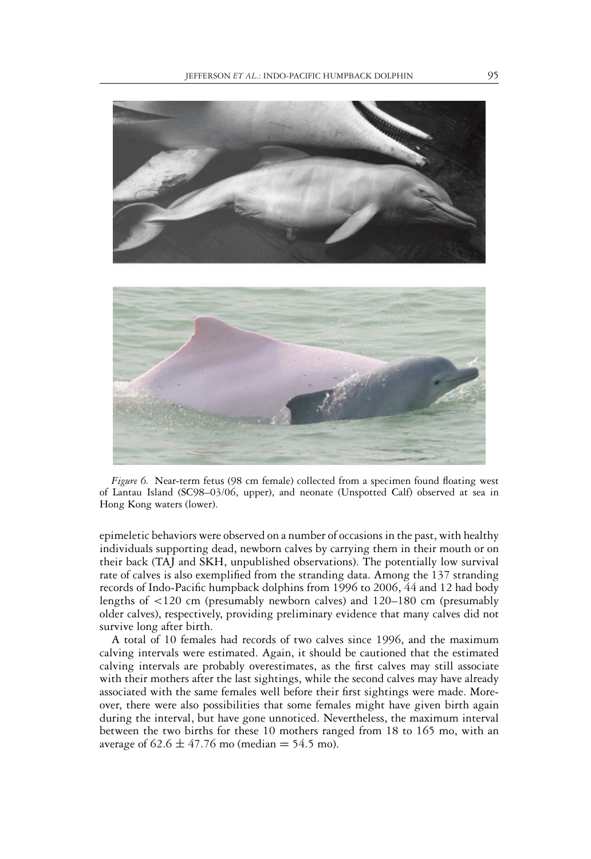

*Figure 6.* Near-term fetus (98 cm female) collected from a specimen found floating west of Lantau Island (SC98–03/06, upper), and neonate (Unspotted Calf) observed at sea in Hong Kong waters (lower).

epimeletic behaviors were observed on a number of occasions in the past, with healthy individuals supporting dead, newborn calves by carrying them in their mouth or on their back (TAJ and SKH, unpublished observations). The potentially low survival rate of calves is also exemplified from the stranding data. Among the 137 stranding records of Indo-Pacific humpback dolphins from 1996 to 2006, 44 and 12 had body lengths of <120 cm (presumably newborn calves) and 120–180 cm (presumably older calves), respectively, providing preliminary evidence that many calves did not survive long after birth.

A total of 10 females had records of two calves since 1996, and the maximum calving intervals were estimated. Again, it should be cautioned that the estimated calving intervals are probably overestimates, as the first calves may still associate with their mothers after the last sightings, while the second calves may have already associated with the same females well before their first sightings were made. Moreover, there were also possibilities that some females might have given birth again during the interval, but have gone unnoticed. Nevertheless, the maximum interval between the two births for these 10 mothers ranged from 18 to 165 mo, with an average of  $62.6 \pm 47.76$  mo (median = 54.5 mo).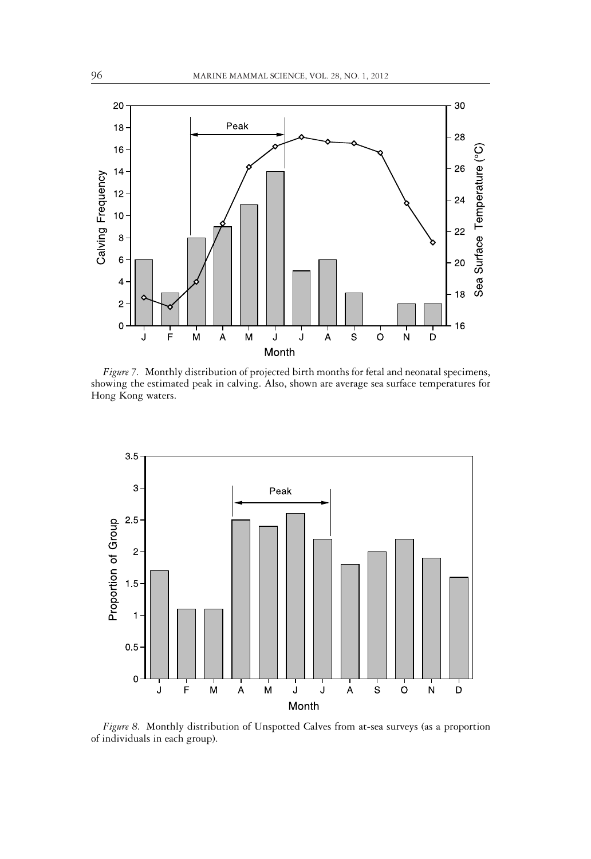

*Figure 7.* Monthly distribution of projected birth months for fetal and neonatal specimens, showing the estimated peak in calving. Also, shown are average sea surface temperatures for Hong Kong waters.



*Figure 8.* Monthly distribution of Unspotted Calves from at-sea surveys (as a proportion of individuals in each group).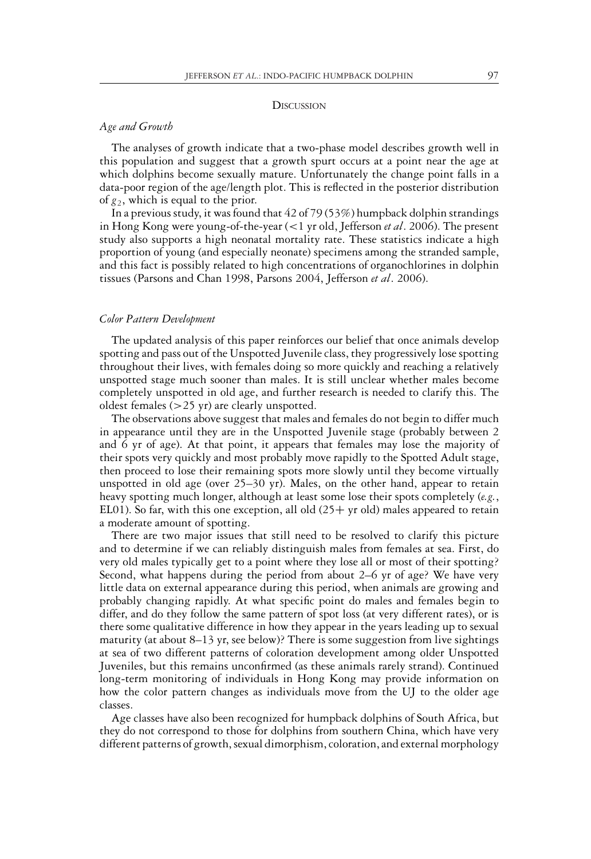#### **DISCUSSION**

# *Age and Growth*

The analyses of growth indicate that a two-phase model describes growth well in this population and suggest that a growth spurt occurs at a point near the age at which dolphins become sexually mature. Unfortunately the change point falls in a data-poor region of the age/length plot. This is reflected in the posterior distribution of  $g_2$ , which is equal to the prior.

In a previous study, it was found that 42 of 79 (53%) humpback dolphin strandings in Hong Kong were young-of-the-year (<1 yr old, Jefferson *et al*. 2006). The present study also supports a high neonatal mortality rate. These statistics indicate a high proportion of young (and especially neonate) specimens among the stranded sample, and this fact is possibly related to high concentrations of organochlorines in dolphin tissues (Parsons and Chan 1998, Parsons 2004, Jefferson *et al*. 2006).

#### *Color Pattern Development*

The updated analysis of this paper reinforces our belief that once animals develop spotting and pass out of the Unspotted Juvenile class, they progressively lose spotting throughout their lives, with females doing so more quickly and reaching a relatively unspotted stage much sooner than males. It is still unclear whether males become completely unspotted in old age, and further research is needed to clarify this. The oldest females (>25 yr) are clearly unspotted.

The observations above suggest that males and females do not begin to differ much in appearance until they are in the Unspotted Juvenile stage (probably between 2 and 6 yr of age). At that point, it appears that females may lose the majority of their spots very quickly and most probably move rapidly to the Spotted Adult stage, then proceed to lose their remaining spots more slowly until they become virtually unspotted in old age (over 25–30 yr). Males, on the other hand, appear to retain heavy spotting much longer, although at least some lose their spots completely (*e.g.*, EL01). So far, with this one exception, all old  $(25 + yr)$  old) males appeared to retain a moderate amount of spotting.

There are two major issues that still need to be resolved to clarify this picture and to determine if we can reliably distinguish males from females at sea. First, do very old males typically get to a point where they lose all or most of their spotting? Second, what happens during the period from about 2–6 yr of age? We have very little data on external appearance during this period, when animals are growing and probably changing rapidly. At what specific point do males and females begin to differ, and do they follow the same pattern of spot loss (at very different rates), or is there some qualitative difference in how they appear in the years leading up to sexual maturity (at about  $8-13$  yr, see below)? There is some suggestion from live sightings at sea of two different patterns of coloration development among older Unspotted Juveniles, but this remains unconfirmed (as these animals rarely strand). Continued long-term monitoring of individuals in Hong Kong may provide information on how the color pattern changes as individuals move from the UJ to the older age classes.

Age classes have also been recognized for humpback dolphins of South Africa, but they do not correspond to those for dolphins from southern China, which have very different patterns of growth, sexual dimorphism, coloration, and external morphology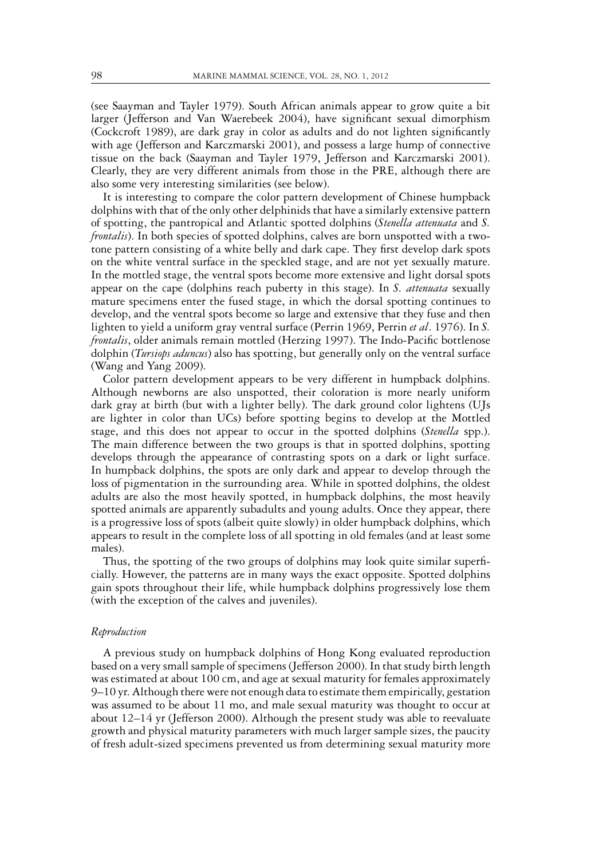(see Saayman and Tayler 1979). South African animals appear to grow quite a bit larger (Jefferson and Van Waerebeek 2004), have significant sexual dimorphism (Cockcroft 1989), are dark gray in color as adults and do not lighten significantly with age (Jefferson and Karczmarski 2001), and possess a large hump of connective tissue on the back (Saayman and Tayler 1979, Jefferson and Karczmarski 2001). Clearly, they are very different animals from those in the PRE, although there are also some very interesting similarities (see below).

It is interesting to compare the color pattern development of Chinese humpback dolphins with that of the only other delphinids that have a similarly extensive pattern of spotting, the pantropical and Atlantic spotted dolphins (*Stenella attenuata* and *S. frontalis*). In both species of spotted dolphins, calves are born unspotted with a twotone pattern consisting of a white belly and dark cape. They first develop dark spots on the white ventral surface in the speckled stage, and are not yet sexually mature. In the mottled stage, the ventral spots become more extensive and light dorsal spots appear on the cape (dolphins reach puberty in this stage). In *S. attenuata* sexually mature specimens enter the fused stage, in which the dorsal spotting continues to develop, and the ventral spots become so large and extensive that they fuse and then lighten to yield a uniform gray ventral surface (Perrin 1969, Perrin *et al*. 1976). In *S. frontalis*, older animals remain mottled (Herzing 1997). The Indo-Pacific bottlenose dolphin (*Tursiops aduncus*) also has spotting, but generally only on the ventral surface (Wang and Yang 2009).

Color pattern development appears to be very different in humpback dolphins. Although newborns are also unspotted, their coloration is more nearly uniform dark gray at birth (but with a lighter belly). The dark ground color lightens (UJs are lighter in color than UCs) before spotting begins to develop at the Mottled stage, and this does not appear to occur in the spotted dolphins (*Stenella* spp.). The main difference between the two groups is that in spotted dolphins, spotting develops through the appearance of contrasting spots on a dark or light surface. In humpback dolphins, the spots are only dark and appear to develop through the loss of pigmentation in the surrounding area. While in spotted dolphins, the oldest adults are also the most heavily spotted, in humpback dolphins, the most heavily spotted animals are apparently subadults and young adults. Once they appear, there is a progressive loss of spots (albeit quite slowly) in older humpback dolphins, which appears to result in the complete loss of all spotting in old females (and at least some males).

Thus, the spotting of the two groups of dolphins may look quite similar superficially. However, the patterns are in many ways the exact opposite. Spotted dolphins gain spots throughout their life, while humpback dolphins progressively lose them (with the exception of the calves and juveniles).

#### *Reproduction*

A previous study on humpback dolphins of Hong Kong evaluated reproduction based on a very small sample of specimens (Jefferson 2000). In that study birth length was estimated at about 100 cm, and age at sexual maturity for females approximately 9–10 yr. Although there were not enough data to estimate them empirically, gestation was assumed to be about 11 mo, and male sexual maturity was thought to occur at about 12–14 yr (Jefferson 2000). Although the present study was able to reevaluate growth and physical maturity parameters with much larger sample sizes, the paucity of fresh adult-sized specimens prevented us from determining sexual maturity more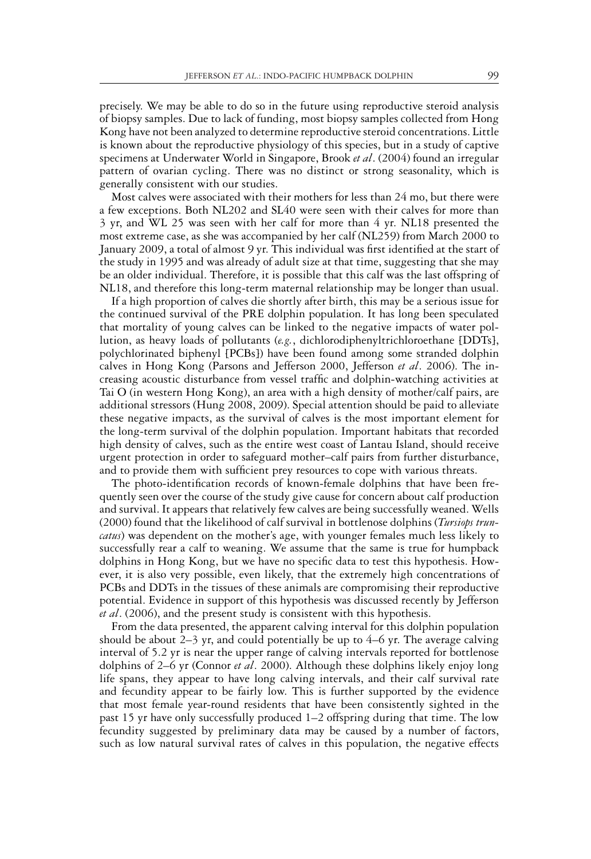precisely. We may be able to do so in the future using reproductive steroid analysis of biopsy samples. Due to lack of funding, most biopsy samples collected from Hong Kong have not been analyzed to determine reproductive steroid concentrations. Little is known about the reproductive physiology of this species, but in a study of captive specimens at Underwater World in Singapore, Brook *et al*. (2004) found an irregular pattern of ovarian cycling. There was no distinct or strong seasonality, which is generally consistent with our studies.

Most calves were associated with their mothers for less than 24 mo, but there were a few exceptions. Both NL202 and SL40 were seen with their calves for more than 3 yr, and WL 25 was seen with her calf for more than 4 yr. NL18 presented the most extreme case, as she was accompanied by her calf (NL259) from March 2000 to January 2009, a total of almost 9 yr. This individual was first identified at the start of the study in 1995 and was already of adult size at that time, suggesting that she may be an older individual. Therefore, it is possible that this calf was the last offspring of NL18, and therefore this long-term maternal relationship may be longer than usual.

If a high proportion of calves die shortly after birth, this may be a serious issue for the continued survival of the PRE dolphin population. It has long been speculated that mortality of young calves can be linked to the negative impacts of water pollution, as heavy loads of pollutants (*e.g.*, dichlorodiphenyltrichloroethane [DDTs], polychlorinated biphenyl [PCBs]) have been found among some stranded dolphin calves in Hong Kong (Parsons and Jefferson 2000, Jefferson *et al*. 2006). The increasing acoustic disturbance from vessel traffic and dolphin-watching activities at Tai O (in western Hong Kong), an area with a high density of mother/calf pairs, are additional stressors (Hung 2008, 2009). Special attention should be paid to alleviate these negative impacts, as the survival of calves is the most important element for the long-term survival of the dolphin population. Important habitats that recorded high density of calves, such as the entire west coast of Lantau Island, should receive urgent protection in order to safeguard mother–calf pairs from further disturbance, and to provide them with sufficient prey resources to cope with various threats.

The photo-identification records of known-female dolphins that have been frequently seen over the course of the study give cause for concern about calf production and survival. It appears that relatively few calves are being successfully weaned. Wells (2000) found that the likelihood of calf survival in bottlenose dolphins (*Tursiops truncatus*) was dependent on the mother's age, with younger females much less likely to successfully rear a calf to weaning. We assume that the same is true for humpback dolphins in Hong Kong, but we have no specific data to test this hypothesis. However, it is also very possible, even likely, that the extremely high concentrations of PCBs and DDTs in the tissues of these animals are compromising their reproductive potential. Evidence in support of this hypothesis was discussed recently by Jefferson *et al*. (2006), and the present study is consistent with this hypothesis.

From the data presented, the apparent calving interval for this dolphin population should be about 2–3 yr, and could potentially be up to 4–6 yr. The average calving interval of 5.2 yr is near the upper range of calving intervals reported for bottlenose dolphins of 2–6 yr (Connor *et al*. 2000). Although these dolphins likely enjoy long life spans, they appear to have long calving intervals, and their calf survival rate and fecundity appear to be fairly low. This is further supported by the evidence that most female year-round residents that have been consistently sighted in the past 15 yr have only successfully produced 1–2 offspring during that time. The low fecundity suggested by preliminary data may be caused by a number of factors, such as low natural survival rates of calves in this population, the negative effects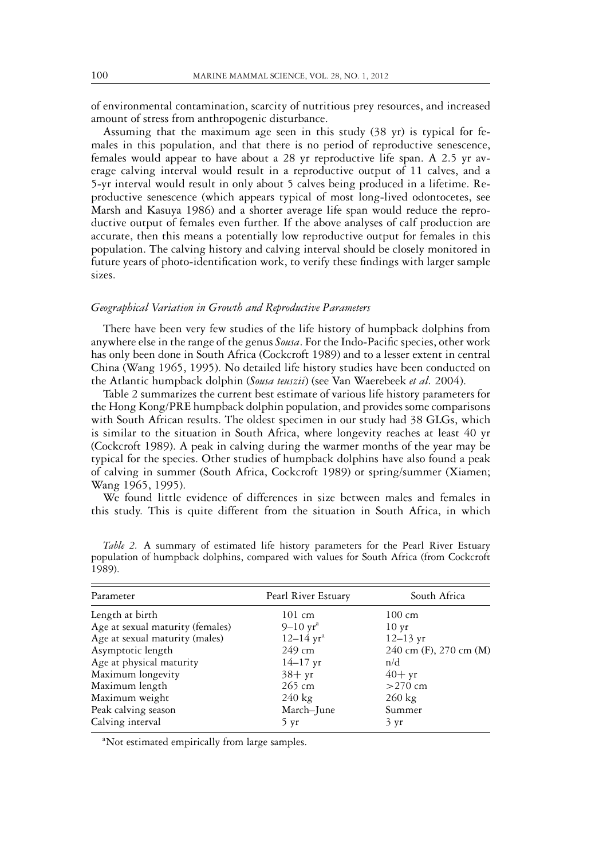of environmental contamination, scarcity of nutritious prey resources, and increased amount of stress from anthropogenic disturbance.

Assuming that the maximum age seen in this study (38 yr) is typical for females in this population, and that there is no period of reproductive senescence, females would appear to have about a 28 yr reproductive life span. A 2.5 yr average calving interval would result in a reproductive output of 11 calves, and a 5-yr interval would result in only about 5 calves being produced in a lifetime. Reproductive senescence (which appears typical of most long-lived odontocetes, see Marsh and Kasuya 1986) and a shorter average life span would reduce the reproductive output of females even further. If the above analyses of calf production are accurate, then this means a potentially low reproductive output for females in this population. The calving history and calving interval should be closely monitored in future years of photo-identification work, to verify these findings with larger sample sizes.

#### *Geographical Variation in Growth and Reproductive Parameters*

There have been very few studies of the life history of humpback dolphins from anywhere else in the range of the genus *Sousa*. For the Indo-Pacific species, other work has only been done in South Africa (Cockcroft 1989) and to a lesser extent in central China (Wang 1965, 1995). No detailed life history studies have been conducted on the Atlantic humpback dolphin (*Sousa teuszii*) (see Van Waerebeek *et al.* 2004).

Table 2 summarizes the current best estimate of various life history parameters for the Hong Kong/PRE humpback dolphin population, and provides some comparisons with South African results. The oldest specimen in our study had 38 GLGs, which is similar to the situation in South Africa, where longevity reaches at least 40 yr (Cockcroft 1989). A peak in calving during the warmer months of the year may be typical for the species. Other studies of humpback dolphins have also found a peak of calving in summer (South Africa, Cockcroft 1989) or spring/summer (Xiamen; Wang 1965, 1995).

We found little evidence of differences in size between males and females in this study. This is quite different from the situation in South Africa, in which

| Parameter                        | Pearl River Estuary           | South Africa           |
|----------------------------------|-------------------------------|------------------------|
| Length at birth                  | 101 cm                        | $100 \text{ cm}$       |
| Age at sexual maturity (females) | $9-10 \,\text{yr}^{\text{a}}$ | $10 \,\text{yr}$       |
| Age at sexual maturity (males)   | $12 - 14$ yr <sup>a</sup>     | $12 - 13$ yr           |
| Asymptotic length                | 249 cm                        | 240 cm (F), 270 cm (M) |
| Age at physical maturity         | $14 - 17$ yr                  | n/d                    |
| Maximum longevity                | $38 + yr$                     | $40+yr$                |
| Maximum length                   | 265 cm                        | $>270$ cm              |
| Maximum weight                   | $240 \text{ kg}$              | $260 \text{ kg}$       |
| Peak calving season              | March-June                    | Summer                 |
| Calving interval                 | 5 yr                          | 3 yr                   |

*Table 2.* A summary of estimated life history parameters for the Pearl River Estuary population of humpback dolphins, compared with values for South Africa (from Cockcroft 1989).

<sup>a</sup>Not estimated empirically from large samples.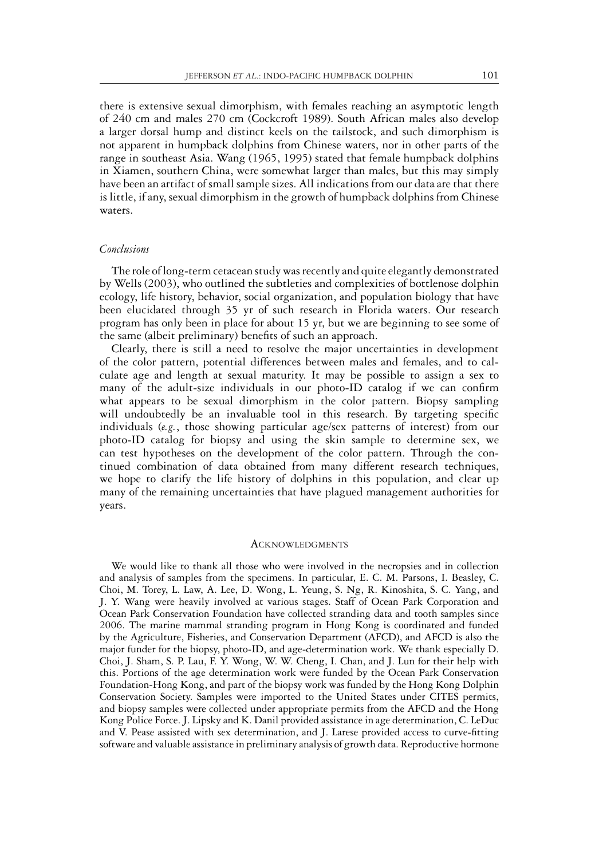there is extensive sexual dimorphism, with females reaching an asymptotic length of 240 cm and males 270 cm (Cockcroft 1989). South African males also develop a larger dorsal hump and distinct keels on the tailstock, and such dimorphism is not apparent in humpback dolphins from Chinese waters, nor in other parts of the range in southeast Asia. Wang (1965, 1995) stated that female humpback dolphins in Xiamen, southern China, were somewhat larger than males, but this may simply have been an artifact of small sample sizes. All indications from our data are that there is little, if any, sexual dimorphism in the growth of humpback dolphins from Chinese waters.

### *Conclusions*

The role of long-term cetacean study was recently and quite elegantly demonstrated by Wells (2003), who outlined the subtleties and complexities of bottlenose dolphin ecology, life history, behavior, social organization, and population biology that have been elucidated through 35 yr of such research in Florida waters. Our research program has only been in place for about 15 yr, but we are beginning to see some of the same (albeit preliminary) benefits of such an approach.

Clearly, there is still a need to resolve the major uncertainties in development of the color pattern, potential differences between males and females, and to calculate age and length at sexual maturity. It may be possible to assign a sex to many of the adult-size individuals in our photo-ID catalog if we can confirm what appears to be sexual dimorphism in the color pattern. Biopsy sampling will undoubtedly be an invaluable tool in this research. By targeting specific individuals (*e.g.*, those showing particular age/sex patterns of interest) from our photo-ID catalog for biopsy and using the skin sample to determine sex, we can test hypotheses on the development of the color pattern. Through the continued combination of data obtained from many different research techniques, we hope to clarify the life history of dolphins in this population, and clear up many of the remaining uncertainties that have plagued management authorities for years.

#### **ACKNOWLEDGMENTS**

We would like to thank all those who were involved in the necropsies and in collection and analysis of samples from the specimens. In particular, E. C. M. Parsons, I. Beasley, C. Choi, M. Torey, L. Law, A. Lee, D. Wong, L. Yeung, S. Ng, R. Kinoshita, S. C. Yang, and J. Y. Wang were heavily involved at various stages. Staff of Ocean Park Corporation and Ocean Park Conservation Foundation have collected stranding data and tooth samples since 2006. The marine mammal stranding program in Hong Kong is coordinated and funded by the Agriculture, Fisheries, and Conservation Department (AFCD), and AFCD is also the major funder for the biopsy, photo-ID, and age-determination work. We thank especially D. Choi, J. Sham, S. P. Lau, F. Y. Wong, W. W. Cheng, I. Chan, and J. Lun for their help with this. Portions of the age determination work were funded by the Ocean Park Conservation Foundation-Hong Kong, and part of the biopsy work was funded by the Hong Kong Dolphin Conservation Society. Samples were imported to the United States under CITES permits, and biopsy samples were collected under appropriate permits from the AFCD and the Hong Kong Police Force. J. Lipsky and K. Danil provided assistance in age determination, C. LeDuc and V. Pease assisted with sex determination, and J. Larese provided access to curve-fitting software and valuable assistance in preliminary analysis of growth data. Reproductive hormone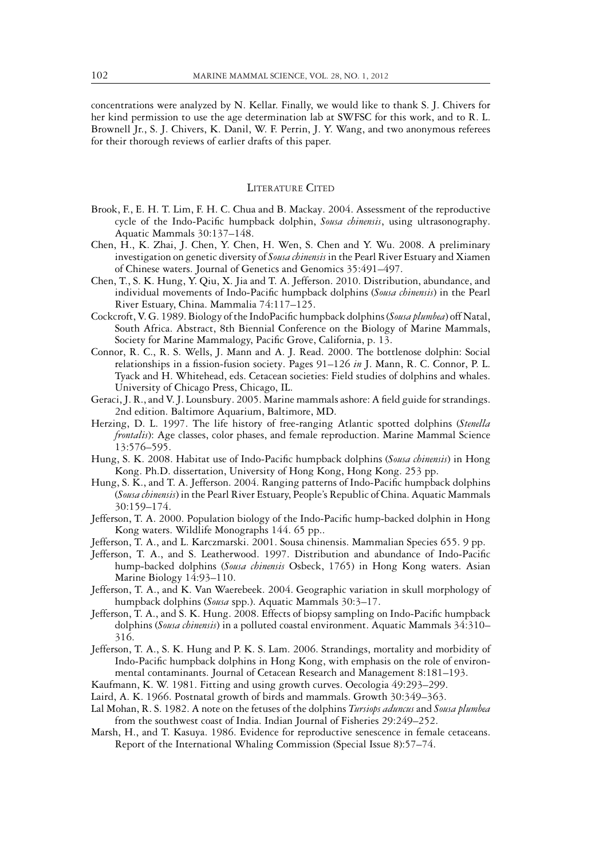concentrations were analyzed by N. Kellar. Finally, we would like to thank S. J. Chivers for her kind permission to use the age determination lab at SWFSC for this work, and to R. L. Brownell Jr., S. J. Chivers, K. Danil, W. F. Perrin, J. Y. Wang, and two anonymous referees for their thorough reviews of earlier drafts of this paper.

# LITERATURE CITED

- Brook, F., E. H. T. Lim, F. H. C. Chua and B. Mackay. 2004. Assessment of the reproductive cycle of the Indo-Pacific humpback dolphin, *Sousa chinensis*, using ultrasonography. Aquatic Mammals 30:137–148.
- Chen, H., K. Zhai, J. Chen, Y. Chen, H. Wen, S. Chen and Y. Wu. 2008. A preliminary investigation on genetic diversity of *Sousa chinensis* in the Pearl River Estuary and Xiamen of Chinese waters. Journal of Genetics and Genomics 35:491–497.
- Chen, T., S. K. Hung, Y. Qiu, X. Jia and T. A. Jefferson. 2010. Distribution, abundance, and individual movements of Indo-Pacific humpback dolphins (*Sousa chinensis*) in the Pearl River Estuary, China. Mammalia 74:117–125.
- Cockcroft, V. G. 1989. Biology of the IndoPacific humpback dolphins (*Sousa plumbea*) off Natal, South Africa. Abstract, 8th Biennial Conference on the Biology of Marine Mammals, Society for Marine Mammalogy, Pacific Grove, California, p. 13.
- Connor, R. C., R. S. Wells, J. Mann and A. J. Read. 2000. The bottlenose dolphin: Social relationships in a fission-fusion society. Pages 91–126 *in* J. Mann, R. C. Connor, P. L. Tyack and H. Whitehead, eds. Cetacean societies: Field studies of dolphins and whales. University of Chicago Press, Chicago, IL.
- Geraci, J. R., and V. J. Lounsbury. 2005. Marine mammals ashore: A field guide for strandings. 2nd edition. Baltimore Aquarium, Baltimore, MD.
- Herzing, D. L. 1997. The life history of free-ranging Atlantic spotted dolphins (*Stenella frontalis*): Age classes, color phases, and female reproduction. Marine Mammal Science 13:576–595.
- Hung, S. K. 2008. Habitat use of Indo-Pacific humpback dolphins (*Sousa chinensis*) in Hong Kong. Ph.D. dissertation, University of Hong Kong, Hong Kong. 253 pp.
- Hung, S. K., and T. A. Jefferson. 2004. Ranging patterns of Indo-Pacific humpback dolphins (*Sousa chinensis*) in the Pearl River Estuary, People's Republic of China. Aquatic Mammals 30:159–174.
- Jefferson, T. A. 2000. Population biology of the Indo-Pacific hump-backed dolphin in Hong Kong waters. Wildlife Monographs 144. 65 pp..
- Jefferson, T. A., and L. Karczmarski. 2001. Sousa chinensis. Mammalian Species 655. 9 pp.
- Jefferson, T. A., and S. Leatherwood. 1997. Distribution and abundance of Indo-Pacific hump-backed dolphins (*Sousa chinensis* Osbeck, 1765) in Hong Kong waters. Asian Marine Biology 14:93–110.
- Jefferson, T. A., and K. Van Waerebeek. 2004. Geographic variation in skull morphology of humpback dolphins (*Sousa* spp.). Aquatic Mammals 30:3–17.
- Jefferson, T. A., and S. K. Hung. 2008. Effects of biopsy sampling on Indo-Pacific humpback dolphins (*Sousa chinensis*) in a polluted coastal environment. Aquatic Mammals 34:310– 316.
- Jefferson, T. A., S. K. Hung and P. K. S. Lam. 2006. Strandings, mortality and morbidity of Indo-Pacific humpback dolphins in Hong Kong, with emphasis on the role of environmental contaminants. Journal of Cetacean Research and Management 8:181–193.
- Kaufmann, K. W. 1981. Fitting and using growth curves. Oecologia 49:293–299.
- Laird, A. K. 1966. Postnatal growth of birds and mammals. Growth 30:349–363.
- Lal Mohan, R. S. 1982. A note on the fetuses of the dolphins *Tursiops aduncus* and *Sousa plumbea* from the southwest coast of India. Indian Journal of Fisheries 29:249–252.
- Marsh, H., and T. Kasuya. 1986. Evidence for reproductive senescence in female cetaceans. Report of the International Whaling Commission (Special Issue 8):57–74.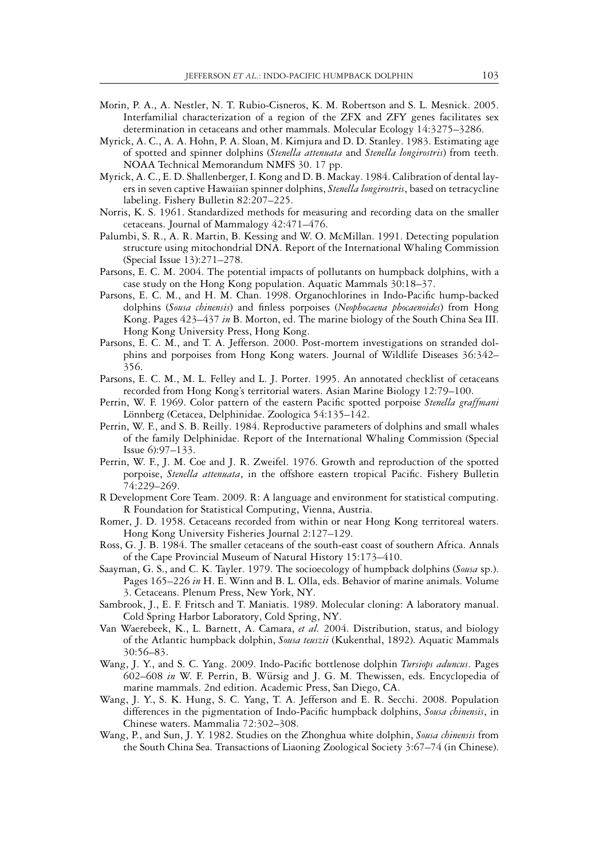- Morin, P. A., A. Nestler, N. T. Rubio-Cisneros, K. M. Robertson and S. L. Mesnick. 2005. Interfamilial characterization of a region of the ZFX and ZFY genes facilitates sex determination in cetaceans and other mammals. Molecular Ecology 14:3275–3286.
- Myrick, A. C., A. A. Hohn, P. A. Sloan, M. Kimjura and D. D. Stanley. 1983. Estimating age of spotted and spinner dolphins (*Stenella attenuata* and *Stenella longirostris*) from teeth. NOAA Technical Memorandum NMFS 30. 17 pp.
- Myrick, A. C., E. D. Shallenberger, I. Kong and D. B. Mackay. 1984. Calibration of dental layers in seven captive Hawaiian spinner dolphins, *Stenella longirostris*, based on tetracycline labeling. Fishery Bulletin 82:207–225.
- Norris, K. S. 1961. Standardized methods for measuring and recording data on the smaller cetaceans. Journal of Mammalogy 42:471–476.
- Palumbi, S. R., A. R. Martin, B. Kessing and W. O. McMillan. 1991. Detecting population structure using mitochondrial DNA. Report of the International Whaling Commission (Special Issue 13):271–278.
- Parsons, E. C. M. 2004. The potential impacts of pollutants on humpback dolphins, with a case study on the Hong Kong population. Aquatic Mammals 30:18–37.
- Parsons, E. C. M., and H. M. Chan. 1998. Organochlorines in Indo-Pacific hump-backed dolphins (*Sousa chinensis*) and finless porpoises (*Neophocaena phocaenoides*) from Hong Kong. Pages 423–437 *in* B. Morton, ed. The marine biology of the South China Sea III. Hong Kong University Press, Hong Kong.
- Parsons, E. C. M., and T. A. Jefferson. 2000. Post-mortem investigations on stranded dolphins and porpoises from Hong Kong waters. Journal of Wildlife Diseases 36:342– 356.
- Parsons, E. C. M., M. L. Felley and L. J. Porter. 1995. An annotated checklist of cetaceans recorded from Hong Kong's territorial waters. Asian Marine Biology 12:79–100.
- Perrin, W. F. 1969. Color pattern of the eastern Pacific spotted porpoise *Stenella graffmani* Lönnberg (Cetacea, Delphinidae. Zoologica 54:135–142.
- Perrin, W. F., and S. B. Reilly. 1984. Reproductive parameters of dolphins and small whales of the family Delphinidae. Report of the International Whaling Commission (Special Issue 6):97–133.
- Perrin, W. F., J. M. Coe and J. R. Zweifel. 1976. Growth and reproduction of the spotted porpoise, *Stenella attenuata*, in the offshore eastern tropical Pacific. Fishery Bulletin 74:229–269.
- R Development Core Team. 2009. R: A language and environment for statistical computing. R Foundation for Statistical Computing, Vienna, Austria.
- Romer, J. D. 1958. Cetaceans recorded from within or near Hong Kong territoreal waters. Hong Kong University Fisheries Journal 2:127–129.
- Ross, G. J. B. 1984. The smaller cetaceans of the south-east coast of southern Africa. Annals of the Cape Provincial Museum of Natural History 15:173–410.
- Saayman, G. S., and C. K. Tayler. 1979. The socioecology of humpback dolphins (*Sousa* sp.). Pages 165–226 *in* H. E. Winn and B. L. Olla, eds. Behavior of marine animals. Volume 3. Cetaceans. Plenum Press, New York, NY.
- Sambrook, J., E. F. Fritsch and T. Maniatis. 1989. Molecular cloning: A laboratory manual. Cold Spring Harbor Laboratory, Cold Spring, NY.
- Van Waerebeek, K., L. Barnett, A. Camara, *et al.* 2004. Distribution, status, and biology of the Atlantic humpback dolphin, *Sousa teuszii* (Kukenthal, 1892). Aquatic Mammals 30:56–83.
- Wang, J. Y., and S. C. Yang. 2009. Indo-Pacific bottlenose dolphin *Tursiops aduncus*. Pages 602–608 *in* W. F. Perrin, B. Wursig and J. G. M. Thewissen, eds. Encyclopedia of ¨ marine mammals. 2nd edition. Academic Press, San Diego, CA.
- Wang, J. Y., S. K. Hung, S. C. Yang, T. A. Jefferson and E. R. Secchi. 2008. Population differences in the pigmentation of Indo-Pacific humpback dolphins, *Sousa chinensis*, in Chinese waters. Mammalia 72:302–308.
- Wang, P., and Sun, J. Y. 1982. Studies on the Zhonghua white dolphin, *Sousa chinensis* from the South China Sea. Transactions of Liaoning Zoological Society 3:67–74 (in Chinese).